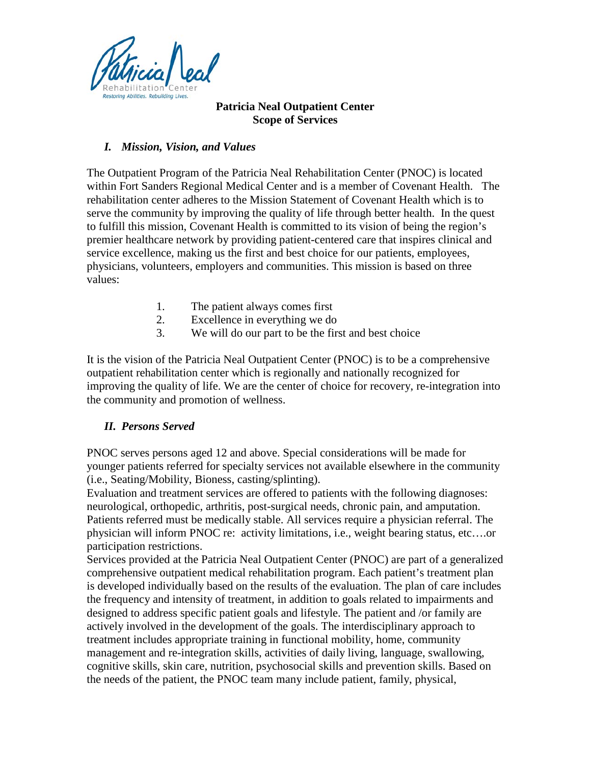

### **Patricia Neal Outpatient Center Scope of Services**

# *I. Mission, Vision, and Values*

The Outpatient Program of the Patricia Neal Rehabilitation Center (PNOC) is located within Fort Sanders Regional Medical Center and is a member of Covenant Health. The rehabilitation center adheres to the Mission Statement of Covenant Health which is to serve the community by improving the quality of life through better health. In the quest to fulfill this mission, Covenant Health is committed to its vision of being the region's premier healthcare network by providing patient-centered care that inspires clinical and service excellence, making us the first and best choice for our patients, employees, physicians, volunteers, employers and communities. This mission is based on three values:

- 1. The patient always comes first
- 2. Excellence in everything we do
- 3. We will do our part to be the first and best choice

It is the vision of the Patricia Neal Outpatient Center (PNOC) is to be a comprehensive outpatient rehabilitation center which is regionally and nationally recognized for improving the quality of life. We are the center of choice for recovery, re-integration into the community and promotion of wellness.

# *II. Persons Served*

PNOC serves persons aged 12 and above. Special considerations will be made for younger patients referred for specialty services not available elsewhere in the community (i.e., Seating/Mobility, Bioness, casting/splinting).

Evaluation and treatment services are offered to patients with the following diagnoses: neurological, orthopedic, arthritis, post-surgical needs, chronic pain, and amputation. Patients referred must be medically stable. All services require a physician referral. The physician will inform PNOC re: activity limitations, i.e., weight bearing status, etc….or participation restrictions.

Services provided at the Patricia Neal Outpatient Center (PNOC) are part of a generalized comprehensive outpatient medical rehabilitation program. Each patient's treatment plan is developed individually based on the results of the evaluation. The plan of care includes the frequency and intensity of treatment, in addition to goals related to impairments and designed to address specific patient goals and lifestyle. The patient and /or family are actively involved in the development of the goals. The interdisciplinary approach to treatment includes appropriate training in functional mobility, home, community management and re-integration skills, activities of daily living, language, swallowing, cognitive skills, skin care, nutrition, psychosocial skills and prevention skills. Based on the needs of the patient, the PNOC team many include patient, family, physical,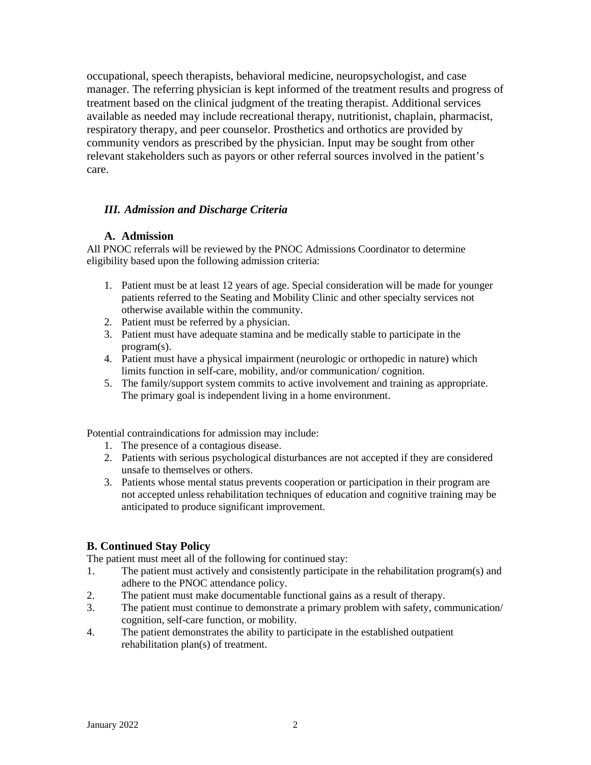occupational, speech therapists, behavioral medicine, neuropsychologist, and case manager. The referring physician is kept informed of the treatment results and progress of treatment based on the clinical judgment of the treating therapist. Additional services available as needed may include recreational therapy, nutritionist, chaplain, pharmacist, respiratory therapy, and peer counselor. Prosthetics and orthotics are provided by community vendors as prescribed by the physician. Input may be sought from other relevant stakeholders such as payors or other referral sources involved in the patient's care.

### *III. Admission and Discharge Criteria*

#### **A. Admission**

All PNOC referrals will be reviewed by the PNOC Admissions Coordinator to determine eligibility based upon the following admission criteria:

- 1. Patient must be at least 12 years of age. Special consideration will be made for younger patients referred to the Seating and Mobility Clinic and other specialty services not otherwise available within the community.
- 2. Patient must be referred by a physician.
- 3. Patient must have adequate stamina and be medically stable to participate in the program(s).
- 4. Patient must have a physical impairment (neurologic or orthopedic in nature) which limits function in self-care, mobility, and/or communication/ cognition.
- 5. The family/support system commits to active involvement and training as appropriate. The primary goal is independent living in a home environment.

Potential contraindications for admission may include:

- 1. The presence of a contagious disease.
- 2. Patients with serious psychological disturbances are not accepted if they are considered unsafe to themselves or others.
- 3. Patients whose mental status prevents cooperation or participation in their program are not accepted unless rehabilitation techniques of education and cognitive training may be anticipated to produce significant improvement.

### **B. Continued Stay Policy**

The patient must meet all of the following for continued stay:

- 1. The patient must actively and consistently participate in the rehabilitation program(s) and adhere to the PNOC attendance policy.
- 2. The patient must make documentable functional gains as a result of therapy.
- 3. The patient must continue to demonstrate a primary problem with safety, communication/ cognition, self-care function, or mobility.
- 4. The patient demonstrates the ability to participate in the established outpatient rehabilitation plan(s) of treatment.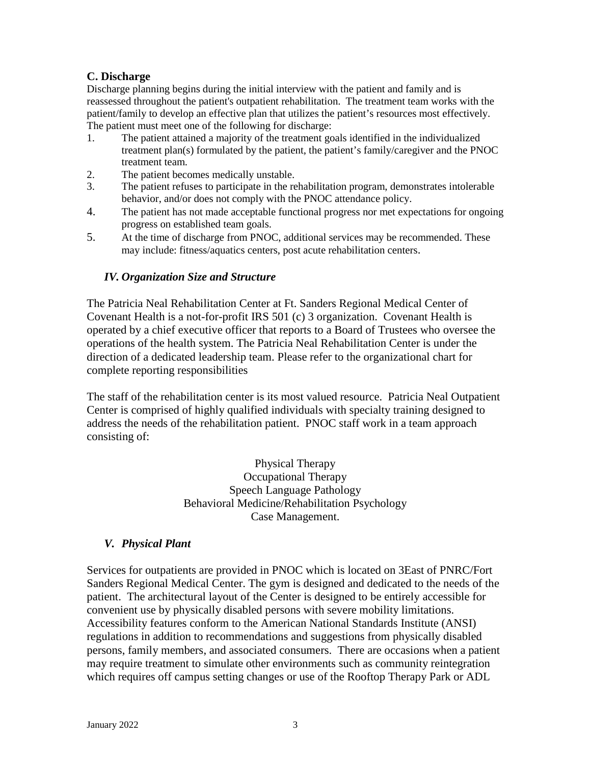# **C. Discharge**

Discharge planning begins during the initial interview with the patient and family and is reassessed throughout the patient's outpatient rehabilitation. The treatment team works with the patient/family to develop an effective plan that utilizes the patient's resources most effectively. The patient must meet one of the following for discharge:

- 1. The patient attained a majority of the treatment goals identified in the individualized treatment plan(s) formulated by the patient, the patient's family/caregiver and the PNOC treatment team.
- 2. The patient becomes medically unstable.
- 3. The patient refuses to participate in the rehabilitation program, demonstrates intolerable behavior, and/or does not comply with the PNOC attendance policy.
- 4. The patient has not made acceptable functional progress nor met expectations for ongoing progress on established team goals.
- 5. At the time of discharge from PNOC, additional services may be recommended. These may include: fitness/aquatics centers, post acute rehabilitation centers.

### *IV. Organization Size and Structure*

The Patricia Neal Rehabilitation Center at Ft. Sanders Regional Medical Center of Covenant Health is a not-for-profit IRS 501 (c) 3 organization. Covenant Health is operated by a chief executive officer that reports to a Board of Trustees who oversee the operations of the health system. The Patricia Neal Rehabilitation Center is under the direction of a dedicated leadership team. Please refer to the organizational chart for complete reporting responsibilities

The staff of the rehabilitation center is its most valued resource. Patricia Neal Outpatient Center is comprised of highly qualified individuals with specialty training designed to address the needs of the rehabilitation patient. PNOC staff work in a team approach consisting of:

> Physical Therapy Occupational Therapy Speech Language Pathology Behavioral Medicine/Rehabilitation Psychology Case Management.

#### *V. Physical Plant*

Services for outpatients are provided in PNOC which is located on 3East of PNRC/Fort Sanders Regional Medical Center. The gym is designed and dedicated to the needs of the patient. The architectural layout of the Center is designed to be entirely accessible for convenient use by physically disabled persons with severe mobility limitations. Accessibility features conform to the American National Standards Institute (ANSI) regulations in addition to recommendations and suggestions from physically disabled persons, family members, and associated consumers. There are occasions when a patient may require treatment to simulate other environments such as community reintegration which requires off campus setting changes or use of the Rooftop Therapy Park or ADL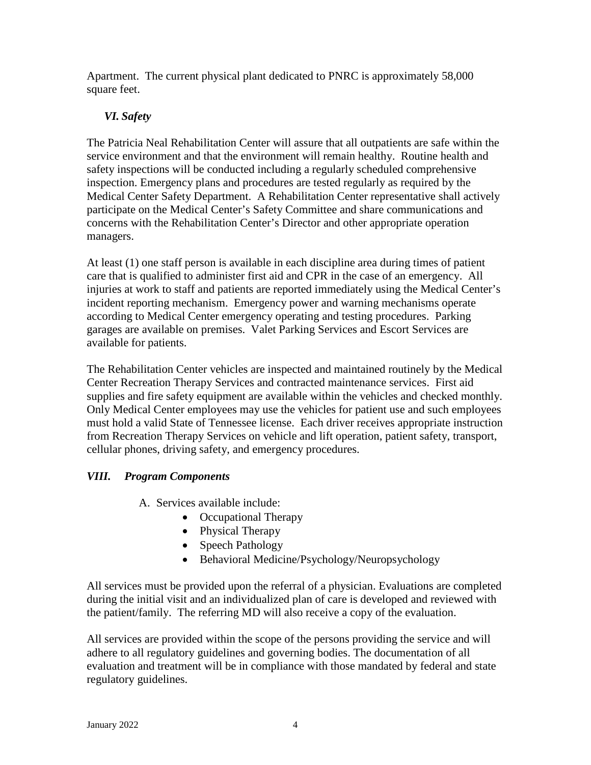Apartment. The current physical plant dedicated to PNRC is approximately 58,000 square feet.

# *VI. Safety*

The Patricia Neal Rehabilitation Center will assure that all outpatients are safe within the service environment and that the environment will remain healthy. Routine health and safety inspections will be conducted including a regularly scheduled comprehensive inspection. Emergency plans and procedures are tested regularly as required by the Medical Center Safety Department. A Rehabilitation Center representative shall actively participate on the Medical Center's Safety Committee and share communications and concerns with the Rehabilitation Center's Director and other appropriate operation managers.

At least (1) one staff person is available in each discipline area during times of patient care that is qualified to administer first aid and CPR in the case of an emergency. All injuries at work to staff and patients are reported immediately using the Medical Center's incident reporting mechanism. Emergency power and warning mechanisms operate according to Medical Center emergency operating and testing procedures. Parking garages are available on premises. Valet Parking Services and Escort Services are available for patients.

The Rehabilitation Center vehicles are inspected and maintained routinely by the Medical Center Recreation Therapy Services and contracted maintenance services. First aid supplies and fire safety equipment are available within the vehicles and checked monthly. Only Medical Center employees may use the vehicles for patient use and such employees must hold a valid State of Tennessee license. Each driver receives appropriate instruction from Recreation Therapy Services on vehicle and lift operation, patient safety, transport, cellular phones, driving safety, and emergency procedures.

# *VIII. Program Components*

A. Services available include:

- Occupational Therapy
- Physical Therapy
- Speech Pathology
- Behavioral Medicine/Psychology/Neuropsychology

All services must be provided upon the referral of a physician. Evaluations are completed during the initial visit and an individualized plan of care is developed and reviewed with the patient/family. The referring MD will also receive a copy of the evaluation.

All services are provided within the scope of the persons providing the service and will adhere to all regulatory guidelines and governing bodies. The documentation of all evaluation and treatment will be in compliance with those mandated by federal and state regulatory guidelines.